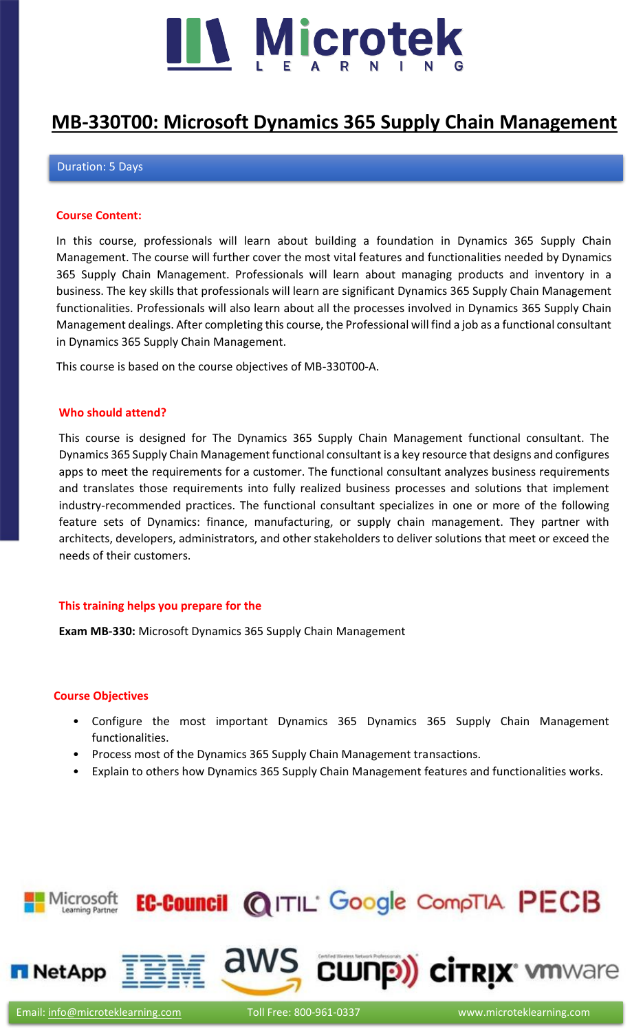

### **[MB-330T00: Microsoft Dynamics 365 Supply Chain Management](https://www.microteklearning.com/mb330-microsoft-dynamics-365-supply-chain-management-training/)**

#### Duration: 5 Days

#### **Course Content:**

In this course, professionals will learn about building a foundation in Dynamics 365 Supply Chain Management. The course will further cover the most vital features and functionalities needed by Dynamics 365 Supply Chain Management. Professionals will learn about managing products and inventory in a business. The key skills that professionals will learn are significant Dynamics 365 Supply Chain Management functionalities. Professionals will also learn about all the processes involved in Dynamics 365 Supply Chain Management dealings. After completing this course, the Professional will find a job as a functional consultant in Dynamics 365 Supply Chain Management.

This course is based on the course objectives of MB-330T00-A.

#### **Who should attend?**

This course is designed for The Dynamics 365 Supply Chain Management functional consultant. The Dynamics 365 Supply Chain Management functional consultant is a key resource that designs and configures apps to meet the requirements for a customer. The functional consultant analyzes business requirements and translates those requirements into fully realized business processes and solutions that implement industry-recommended practices. The functional consultant specializes in one or more of the following feature sets of Dynamics: finance, manufacturing, or supply chain management. They partner with architects, developers, administrators, and other stakeholders to deliver solutions that meet or exceed the needs of their customers.

#### **This training helps you prepare for the**

**Exam MB-330:** Microsoft Dynamics 365 Supply Chain Management

#### **Course Objectives**

- Configure the most important Dynamics 365 Dynamics 365 Supply Chain Management functionalities.
- Process most of the Dynamics 365 Supply Chain Management transactions.
- Explain to others how Dynamics 365 Supply Chain Management features and functionalities works.

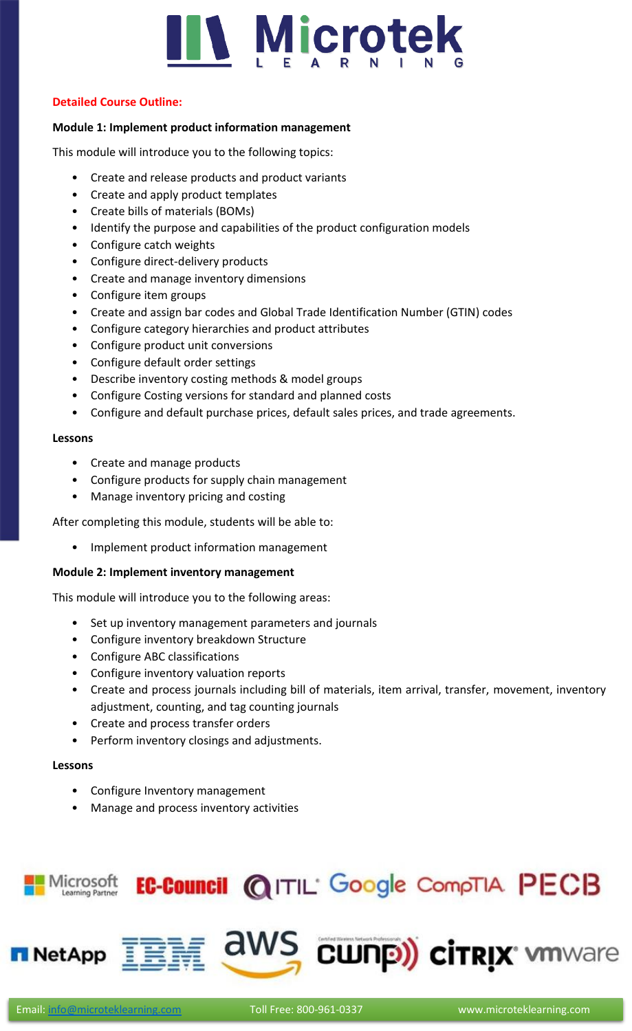

#### **Detailed Course Outline:**

#### **Module 1: Implement product information management**

This module will introduce you to the following topics:

- Create and release products and product variants
- Create and apply product templates
- Create bills of materials (BOMs)
- Identify the purpose and capabilities of the product configuration models
- Configure catch weights
- Configure direct-delivery products
- Create and manage inventory dimensions
- Configure item groups
- Create and assign bar codes and Global Trade Identification Number (GTIN) codes
- Configure category hierarchies and product attributes
- Configure product unit conversions
- Configure default order settings
- Describe inventory costing methods & model groups
- Configure Costing versions for standard and planned costs
- Configure and default purchase prices, default sales prices, and trade agreements.

#### **Lessons**

- Create and manage products
- Configure products for supply chain management
- Manage inventory pricing and costing

After completing this module, students will be able to:

• Implement product information management

#### **Module 2: Implement inventory management**

This module will introduce you to the following areas:

- Set up inventory management parameters and journals
- Configure inventory breakdown Structure
- Configure ABC classifications
- Configure inventory valuation reports
- Create and process journals including bill of materials, item arrival, transfer, movement, inventory adjustment, counting, and tag counting journals
- Create and process transfer orders
- Perform inventory closings and adjustments.

#### **Lessons**

- Configure Inventory management
- Manage and process inventory activities

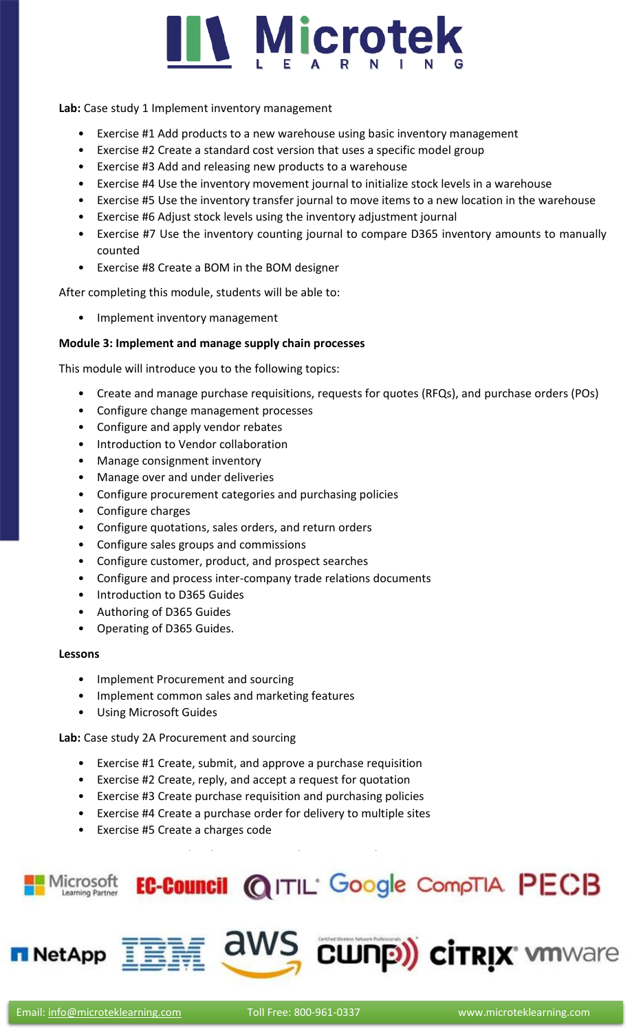

**Lab:** Case study 1 Implement inventory management

- Exercise #1 Add products to a new warehouse using basic inventory management
- Exercise #2 Create a standard cost version that uses a specific model group
- Exercise #3 Add and releasing new products to a warehouse
- Exercise #4 Use the inventory movement journal to initialize stock levels in a warehouse
- Exercise #5 Use the inventory transfer journal to move items to a new location in the warehouse
- Exercise #6 Adjust stock levels using the inventory adjustment journal
- Exercise #7 Use the inventory counting journal to compare D365 inventory amounts to manually counted
- Exercise #8 Create a BOM in the BOM designer

After completing this module, students will be able to:

• Implement inventory management

#### **Module 3: Implement and manage supply chain processes**

This module will introduce you to the following topics:

- Create and manage purchase requisitions, requests for quotes (RFQs), and purchase orders (POs)
- Configure change management processes
- Configure and apply vendor rebates
- Introduction to Vendor collaboration
- Manage consignment inventory
- Manage over and under deliveries
- Configure procurement categories and purchasing policies
- Configure charges
- Configure quotations, sales orders, and return orders
- Configure sales groups and commissions
- Configure customer, product, and prospect searches
- Configure and process inter-company trade relations documents
- Introduction to D365 Guides
- Authoring of D365 Guides
- Operating of D365 Guides.

#### **Lessons**

- Implement Procurement and sourcing
- Implement common sales and marketing features
- Using Microsoft Guides

#### **Lab:** Case study 2A Procurement and sourcing

- Exercise #1 Create, submit, and approve a purchase requisition
- Exercise #2 Create, reply, and accept a request for quotation

Exercise #6 Create a vendor charges group and assign to vendors

 $\text{EAPP} \equiv 100 \text{ m}^2 \cdot \text{m}^2$ 

- Exercise #3 Create purchase requisition and purchasing policies
- Exercise #4 Create a purchase order for delivery to multiple sites
- Exercise #5 Create a charges code

 $\equiv$   $\sim$   $\sim$   $\sim$   $\sim$   $\sim$ 

Lab: Case study 2B Sales and marketing

### Microsoft **EC-Council @ITIL** Google CompTIA PECB

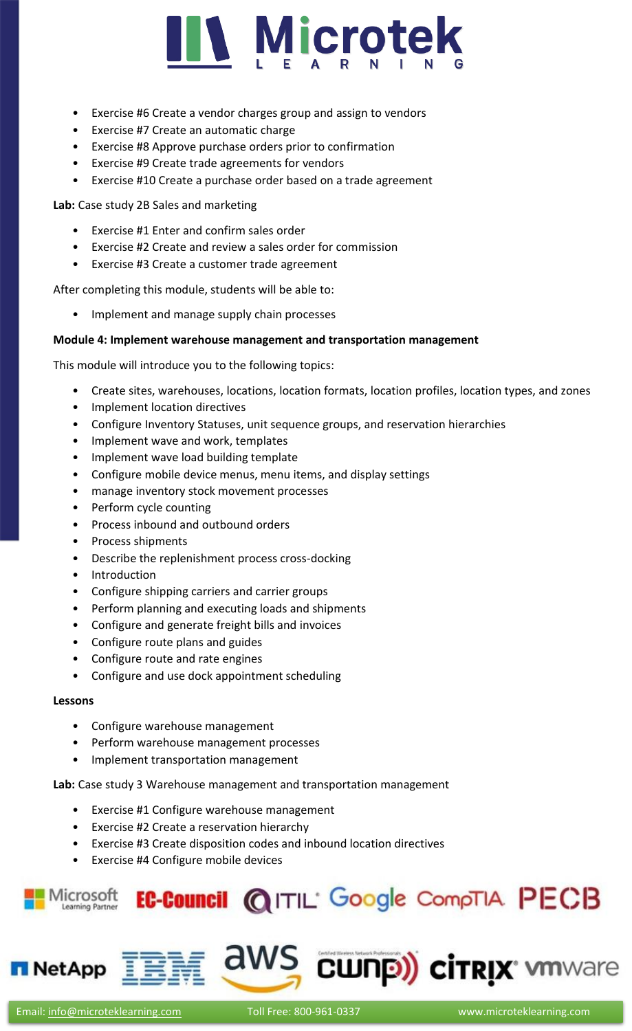

- Exercise #6 Create a vendor charges group and assign to vendors
- Exercise #7 Create an automatic charge
- Exercise #8 Approve purchase orders prior to confirmation
- Exercise #9 Create trade agreements for vendors
- Exercise #10 Create a purchase order based on a trade agreement

**Lab:** Case study 2B Sales and marketing

- Exercise #1 Enter and confirm sales order
- Exercise #2 Create and review a sales order for commission
- Exercise #3 Create a customer trade agreement

After completing this module, students will be able to:

• Implement and manage supply chain processes

#### **Module 4: Implement warehouse management and transportation management**

This module will introduce you to the following topics:

- Create sites, warehouses, locations, location formats, location profiles, location types, and zones
- Implement location directives
- Configure Inventory Statuses, unit sequence groups, and reservation hierarchies
- Implement wave and work, templates
- Implement wave load building template
- Configure mobile device menus, menu items, and display settings
- manage inventory stock movement processes
- Perform cycle counting
- Process inbound and outbound orders
- Process shipments
- Describe the replenishment process cross-docking
- Introduction
- Configure shipping carriers and carrier groups
- Perform planning and executing loads and shipments
- Configure and generate freight bills and invoices
- Configure route plans and guides
- Configure route and rate engines
- Configure and use dock appointment scheduling

#### **Lessons**

- Configure warehouse management
- Perform warehouse management processes
- Implement transportation management

**Lab:** Case study 3 Warehouse management and transportation management

- Exercise #1 Configure warehouse management
- Exercise #2 Create a reservation hierarchy
- Exercise #3 Create disposition codes and inbound location directives
- Exercise #4 Configure mobile devices



aws **cunp) cirrix** working

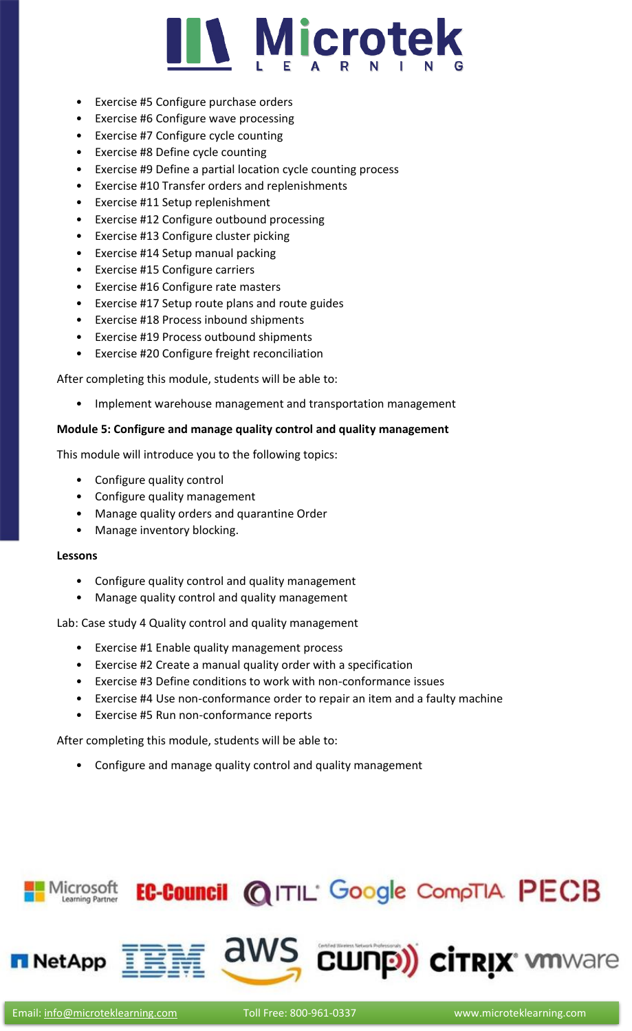## **Microtek**

- Exercise #5 Configure purchase orders
- Exercise #6 Configure wave processing
- Exercise #7 Configure cycle counting
- Exercise #8 Define cycle counting
- Exercise #9 Define a partial location cycle counting process
- Exercise #10 Transfer orders and replenishments
- Exercise #11 Setup replenishment
- Exercise #12 Configure outbound processing
- Exercise #13 Configure cluster picking
- Exercise #14 Setup manual packing
- Exercise #15 Configure carriers
- Exercise #16 Configure rate masters
- Exercise #17 Setup route plans and route guides
- Exercise #18 Process inbound shipments
- Exercise #19 Process outbound shipments
- Exercise #20 Configure freight reconciliation

After completing this module, students will be able to:

• Implement warehouse management and transportation management

#### **Module 5: Configure and manage quality control and quality management**

This module will introduce you to the following topics:

- Configure quality control
- Configure quality management
- Manage quality orders and quarantine Order
- Manage inventory blocking.

#### **Lessons**

- Configure quality control and quality management
- Manage quality control and quality management

Lab: Case study 4 Quality control and quality management

- Exercise #1 Enable quality management process
- Exercise #2 Create a manual quality order with a specification
- Exercise #3 Define conditions to work with non-conformance issues
- Exercise #4 Use non-conformance order to repair an item and a faulty machine
- Exercise #5 Run non-conformance reports

After completing this module, students will be able to:

• Configure and manage quality control and quality management